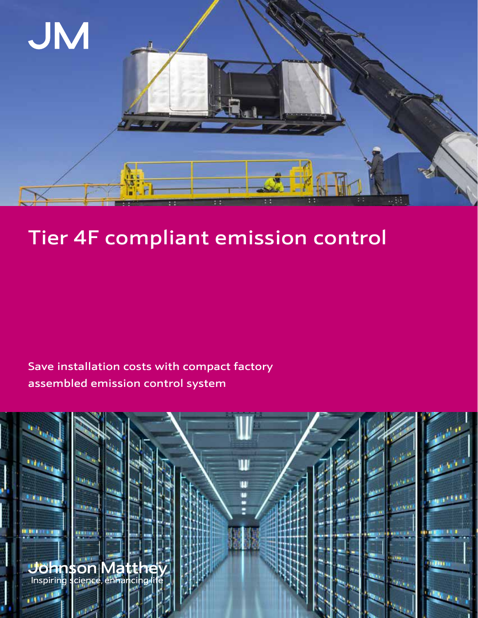

# Tier 4F compliant emission control

Save installation costs with compact factory assembled emission control system

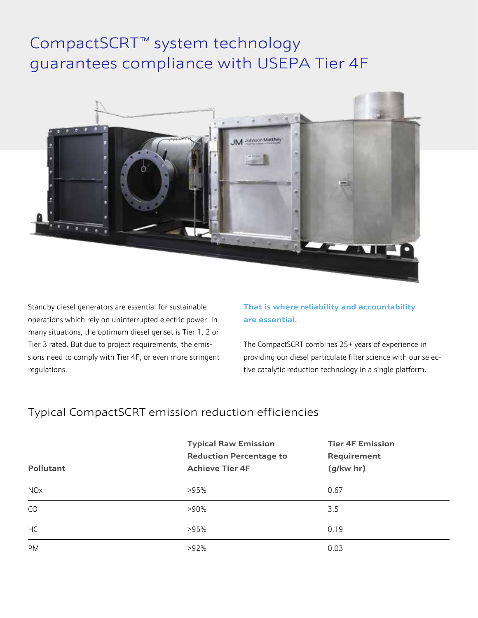## CompactSCRT<sup>™</sup> system technology guarantees compliance with USEPA Tier 4F



Standby diesel generators are essential for sustainable operations which rely on uninterrupted electric power. In many situations, the optimum diesel genset is Tier 1, 2 or Tier 3 rated. But due to project requirements, the emissions need to comply with Tier 4F, or even more stringent regulations.

#### **That is where reliability and accountability are essential.**

The CompactSCRT combines 25+ years of experience in providing our diesel particulate filter science with our selective catalytic reduction technology in a single platform.

### Typical CompactSCRT emission reduction efficiencies

| Pollutant             | <b>Typical Raw Emission</b><br><b>Reduction Percentage to</b><br><b>Achieve Tier 4F</b> | <b>Tier 4F Emission</b><br>Requirement<br>$(g/kw$ hr) |
|-----------------------|-----------------------------------------------------------------------------------------|-------------------------------------------------------|
| <b>NO<sub>x</sub></b> | >95%                                                                                    | 0.67                                                  |
| CO                    | $>90\%$                                                                                 | 3.5                                                   |
| HC                    | >95%                                                                                    | 0.19                                                  |
| <b>PM</b>             | $>92\%$                                                                                 | 0.03                                                  |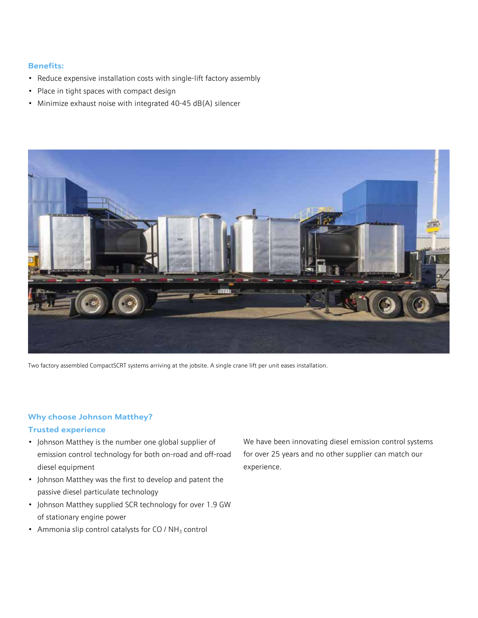#### **Benefits:**

- Reduce expensive installation costs with single-lift factory assembly
- Place in tight spaces with compact design
- Minimize exhaust noise with integrated 40-45 dB(A) silencer



Two factory assembled CompactSCRT systems arriving at the jobsite. A single crane lift per unit eases installation.

#### **Why choose Johnson Matthey?**

#### **Trusted experience**

- Johnson Matthey is the number one global supplier of emission control technology for both on-road and off-road diesel equipment
- Johnson Matthey was the first to develop and patent the passive diesel particulate technology
- Johnson Matthey supplied SCR technology for over 1.9 GW of stationary engine power
- Ammonia slip control catalysts for  $CO / NH<sub>3</sub>$  control

We have been innovating diesel emission control systems for over 25 years and no other supplier can match our experience.